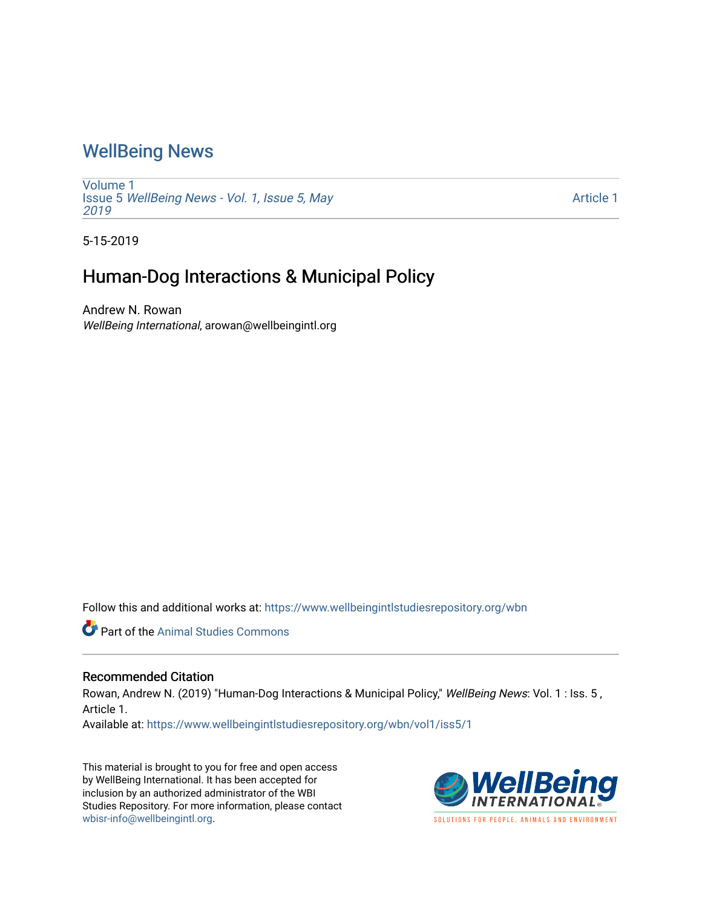## [WellBeing News](https://www.wellbeingintlstudiesrepository.org/wbn)

[Volume 1](https://www.wellbeingintlstudiesrepository.org/wbn/vol1) Issue 5 [WellBeing News - Vol. 1, Issue 5, May](https://www.wellbeingintlstudiesrepository.org/wbn/vol1/iss5) [2019](https://www.wellbeingintlstudiesrepository.org/wbn/vol1/iss5) 

[Article 1](https://www.wellbeingintlstudiesrepository.org/wbn/vol1/iss5/1) 

5-15-2019

## Human-Dog Interactions & Municipal Policy

Andrew N. Rowan WellBeing International, arowan@wellbeingintl.org

Follow this and additional works at: [https://www.wellbeingintlstudiesrepository.org/wbn](https://www.wellbeingintlstudiesrepository.org/wbn?utm_source=www.wellbeingintlstudiesrepository.org%2Fwbn%2Fvol1%2Fiss5%2F1&utm_medium=PDF&utm_campaign=PDFCoverPages)



## Recommended Citation

Rowan, Andrew N. (2019) "Human-Dog Interactions & Municipal Policy," WellBeing News: Vol. 1 : Iss. 5, Article 1.

Available at: [https://www.wellbeingintlstudiesrepository.org/wbn/vol1/iss5/1](https://www.wellbeingintlstudiesrepository.org/wbn/vol1/iss5/1?utm_source=www.wellbeingintlstudiesrepository.org%2Fwbn%2Fvol1%2Fiss5%2F1&utm_medium=PDF&utm_campaign=PDFCoverPages)

This material is brought to you for free and open access by WellBeing International. It has been accepted for inclusion by an authorized administrator of the WBI Studies Repository. For more information, please contact [wbisr-info@wellbeingintl.org](mailto:wbisr-info@wellbeingintl.org).

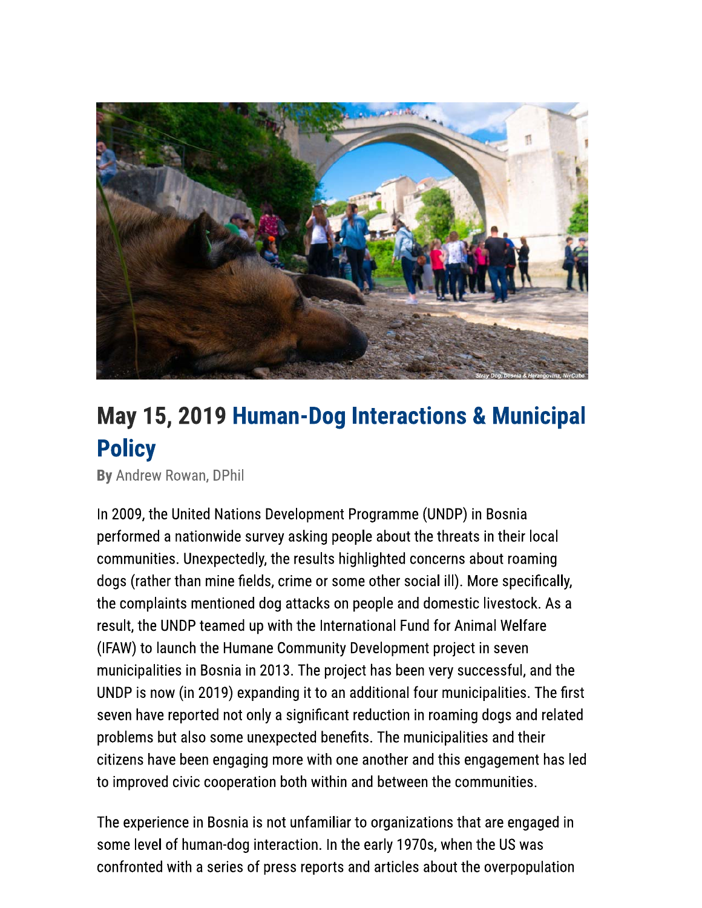

## May 15, 2019 Human-Dog Interactions & Municipal **Policy**

By Andrew Rowan, DPhil

In 2009, the United Nations Development Programme (UNDP) in Bosnia performed a nationwide survey asking people about the threats in their local communities. Unexpectedly, the results highlighted concerns about roaming dogs (rather than mine fields, crime or some other social ill). More specifically, the complaints mentioned dog attacks on people and domestic livestock. As a result, the UNDP teamed up with the International Fund for Animal Welfare (IFAW) to launch the Humane Community Development project in seven municipalities in Bosnia in 2013. The project has been very successful, and the UNDP is now (in 2019) expanding it to an additional four municipalities. The first seven have reported not only a significant reduction in roaming dogs and related problems but also some unexpected benefits. The municipalities and their citizens have been engaging more with one another and this engagement has led to improved civic cooperation both within and between the communities.

The experience in Bosnia is not unfamiliar to organizations that are engaged in some level of human-dog interaction. In the early 1970s, when the US was confronted with a series of press reports and articles about the overpopulation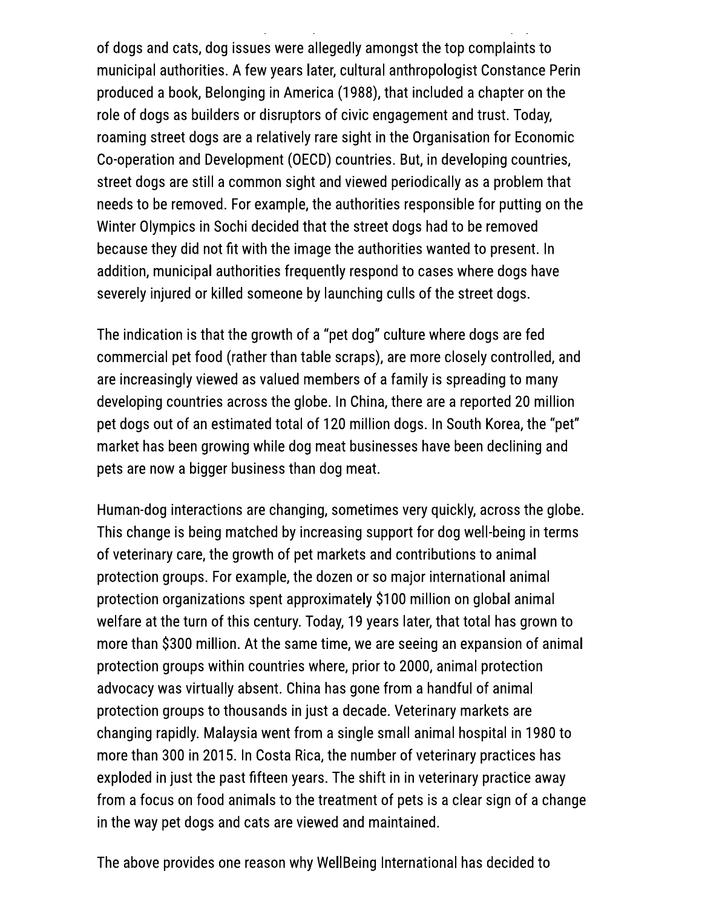of dogs and cats, dog issues were allegedly amongst the top complaints to municipal authorities. A few years later, cultural anthropologist Constance Perin produced a book, Belonging in America (1988), that included a chapter on the role of dogs as builders or disruptors of civic engagement and trust. Today, roaming street dogs are a relatively rare sight in the Organisation for Economic Co-operation and Development (OECD) countries. But, in developing countries, street dogs are still a common sight and viewed periodically as a problem that needs to be removed. For example, the authorities responsible for putting on the Winter Olympics in Sochi decided that the street dogs had to be removed because they did not fit with the image the authorities wanted to present. In addition, municipal authorities frequently respond to cases where dogs have severely injured or killed someone by launching culls of the street dogs.

The indication is that the growth of a "pet dog" culture where dogs are fed commercial pet food (rather than table scraps), are more closely controlled, and are increasingly viewed as valued members of a family is spreading to many developing countries across the globe. In China, there are a reported 20 million pet dogs out of an estimated total of 120 million dogs. In South Korea, the "pet" market has been growing while dog meat businesses have been declining and pets are now a bigger business than dog meat.

Human-dog interactions are changing, sometimes very quickly, across the globe. This change is being matched by increasing support for dog well-being in terms of veterinary care, the growth of pet markets and contributions to animal protection groups. For example, the dozen or so major international animal protection organizations spent approximately \$100 million on global animal welfare at the turn of this century. Today, 19 years later, that total has grown to more than \$300 million. At the same time, we are seeing an expansion of animal protection groups within countries where, prior to 2000, animal protection advocacy was virtually absent. China has gone from a handful of animal protection groups to thousands in just a decade. Veterinary markets are changing rapidly. Malaysia went from a single small animal hospital in 1980 to more than 300 in 2015. In Costa Rica, the number of veterinary practices has exploded in just the past fifteen years. The shift in in veterinary practice away from a focus on food animals to the treatment of pets is a clear sign of a change in the way pet dogs and cats are viewed and maintained.

The above provides one reason why WellBeing International has decided to